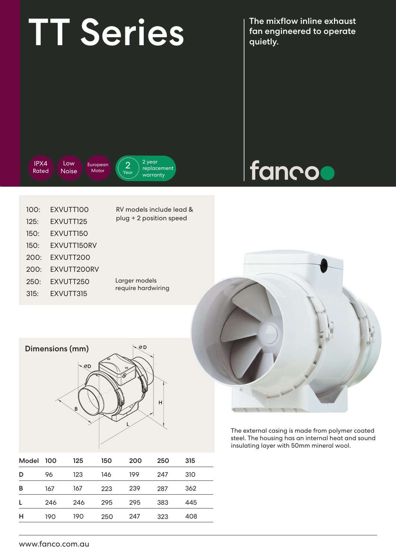## TT Series Managineered to operate

fan engineered to operate quietly.

IPX4 Rated

Low Noise **European** Motor





| 100: | EXVUTTIOO          |
|------|--------------------|
| 125: | FXVUTT125          |
| 150: | FXVUTT150          |
| 150: | <b>FXVUTT150RV</b> |
| 200: | <b>FXVUTT200</b>   |
| 200: | FXVUTT200RV        |
| 250: | EXVUTT250          |
| 315: | EXVUTT315          |

RV models include lead & plug + 2 position speed

Larger models require hardwiring



The external casing is made from polymer coated steel. The housing has an internal heat and sound insulating layer with 50mm mineral wool.

| Dimensions (mm) | OD. |
|-----------------|-----|
| <b>OD</b>       | ౚ   |
| B               | н   |

| Model | 100 | 125 | 150 | 200 | 250 | 315 |  |
|-------|-----|-----|-----|-----|-----|-----|--|
| D     | 96  | 123 | 146 | 199 | 247 | 310 |  |
| в     | 167 | 167 | 223 | 239 | 287 | 362 |  |
| L     | 246 | 246 | 295 | 295 | 383 | 445 |  |
| н     | 190 | 190 | 250 | 247 | 323 | 408 |  |